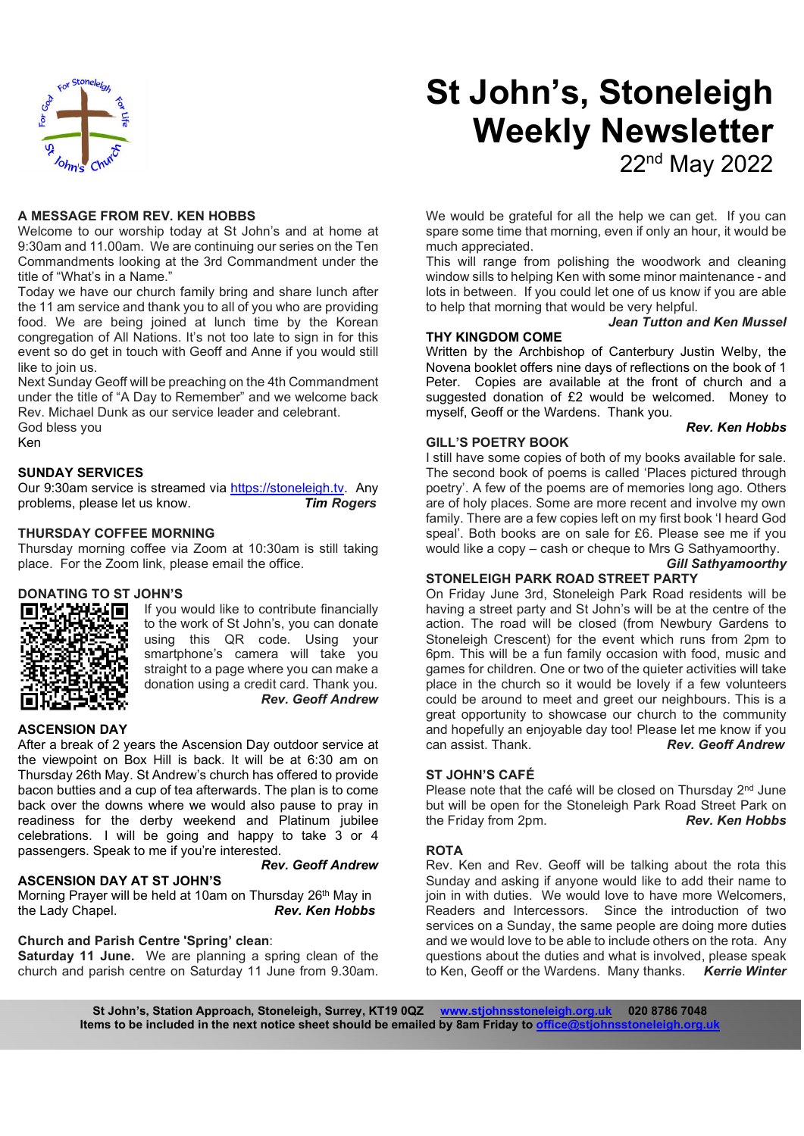

#### A MESSAGE FROM REV. KEN HOBBS

Welcome to our worship today at St John's and at home at 9:30am and 11.00am. We are continuing our series on the Ten Commandments looking at the 3rd Commandment under the title of "What's in a Name."

Today we have our church family bring and share lunch after the 11 am service and thank you to all of you who are providing food. We are being joined at lunch time by the Korean congregation of All Nations. It's not too late to sign in for this event so do get in touch with Geoff and Anne if you would still like to join us.

Next Sunday Geoff will be preaching on the 4th Commandment under the title of "A Day to Remember" and we welcome back Rev. Michael Dunk as our service leader and celebrant. God bless you Ken

#### SUNDAY SERVICES

Our 9:30am service is streamed via https://stoneleigh.tv. Any problems, please let us know. Tim Rogers

#### THURSDAY COFFEE MORNING

Thursday morning coffee via Zoom at 10:30am is still taking place. For the Zoom link, please email the office.

#### DONATING TO ST JOHN'S



If you would like to contribute financially to the work of St John's, you can donate using this QR code. Using your smartphone's camera will take you straight to a page where you can make a donation using a credit card. Thank you. Rev. Geoff Andrew

Rev. Geoff Andrew

#### ASCENSION DAY

After a break of 2 years the Ascension Day outdoor service at each assist. Thank. the viewpoint on Box Hill is back. It will be at 6:30 am on Thursday 26th May. St Andrew's church has offered to provide bacon butties and a cup of tea afterwards. The plan is to come back over the downs where we would also pause to pray in readiness for the derby weekend and Platinum jubilee celebrations. I will be going and happy to take 3 or 4 passengers. Speak to me if you're interested.

#### ASCENSION DAY AT ST JOHN'S

Morning Prayer will be held at 10am on Thursday 26th May in the Lady Chapel. **Rev. Ken Hobbs** 

# Church and Parish Centre 'Spring' clean:

Saturday 11 June. We are planning a spring clean of the church and parish centre on Saturday 11 June from 9.30am.

# St John's, Stoneleigh Weekly Newsletter 22nd May 2022

We would be grateful for all the help we can get. If you can spare some time that morning, even if only an hour, it would be much appreciated.

This will range from polishing the woodwork and cleaning window sills to helping Ken with some minor maintenance - and lots in between. If you could let one of us know if you are able to help that morning that would be very helpful.

# Jean Tutton and Ken Mussel

#### THY KINGDOM COME

Written by the Archbishop of Canterbury Justin Welby, the Novena booklet offers nine days of reflections on the book of 1 Peter. Copies are available at the front of church and a suggested donation of £2 would be welcomed. Money to myself, Geoff or the Wardens. Thank you.

#### GILL'S POETRY BOOK

# Rev. Ken Hobbs

I still have some copies of both of my books available for sale. The second book of poems is called 'Places pictured through poetry'. A few of the poems are of memories long ago. Others are of holy places. Some are more recent and involve my own family. There are a few copies left on my first book 'I heard God speal'. Both books are on sale for £6. Please see me if you would like a copy – cash or cheque to Mrs G Sathyamoorthy. Gill Sathyamoorthy

#### STONELEIGH PARK ROAD STREET PARTY

On Friday June 3rd, Stoneleigh Park Road residents will be having a street party and St John's will be at the centre of the action. The road will be closed (from Newbury Gardens to Stoneleigh Crescent) for the event which runs from 2pm to 6pm. This will be a fun family occasion with food, music and games for children. One or two of the quieter activities will take place in the church so it would be lovely if a few volunteers could be around to meet and greet our neighbours. This is a great opportunity to showcase our church to the community and hopefully an enjoyable day too! Please let me know if you **Rev. Geoff Andrew** 

#### ST JOHN'S CAFÉ

Please note that the café will be closed on Thursday 2<sup>nd</sup> June but will be open for the Stoneleigh Park Road Street Park on<br>the Friday from 2pm. **Rev. Ken Hobbs** the Friday from 2pm.

#### **ROTA**

Rev. Ken and Rev. Geoff will be talking about the rota this Sunday and asking if anyone would like to add their name to join in with duties. We would love to have more Welcomers, Readers and Intercessors. Since the introduction of two services on a Sunday, the same people are doing more duties and we would love to be able to include others on the rota. Any questions about the duties and what is involved, please speak to Ken, Geoff or the Wardens. Many thanks. Kerrie Winter

St John's, Station Approach, Stoneleigh, Surrey, KT19 0QZ www.stjohnsstoneleigh.org.uk 020 8786 7048 Items to be included in the next notice sheet should be emailed by 8am Friday to office@stjohns